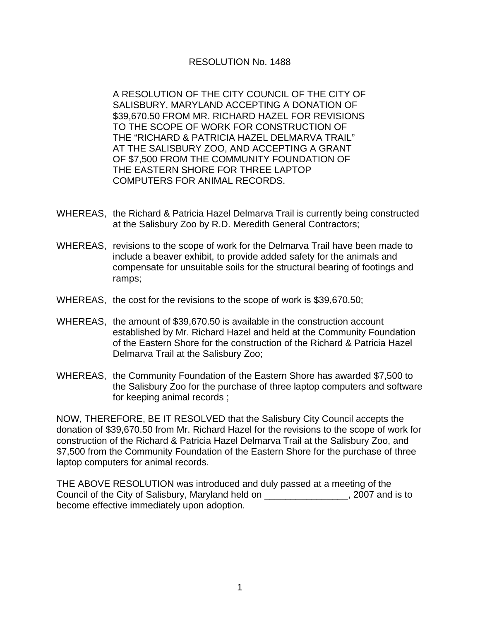## RESOLUTION No. 1488

A RESOLUTION OF THE CITY COUNCIL OF THE CITY OF SALISBURY, MARYLAND ACCEPTING A DONATION OF \$39,670.50 FROM MR. RICHARD HAZEL FOR REVISIONS TO THE SCOPE OF WORK FOR CONSTRUCTION OF THE "RICHARD & PATRICIA HAZEL DELMARVA TRAIL" AT THE SALISBURY ZOO, AND ACCEPTING A GRANT OF \$7,500 FROM THE COMMUNITY FOUNDATION OF THE EASTERN SHORE FOR THREE LAPTOP COMPUTERS FOR ANIMAL RECORDS.

- WHEREAS, the Richard & Patricia Hazel Delmarva Trail is currently being constructed at the Salisbury Zoo by R.D. Meredith General Contractors;
- WHEREAS, revisions to the scope of work for the Delmarva Trail have been made to include a beaver exhibit, to provide added safety for the animals and compensate for unsuitable soils for the structural bearing of footings and ramps;
- WHEREAS, the cost for the revisions to the scope of work is \$39,670.50;
- WHEREAS, the amount of \$39,670.50 is available in the construction account established by Mr. Richard Hazel and held at the Community Foundation of the Eastern Shore for the construction of the Richard & Patricia Hazel Delmarva Trail at the Salisbury Zoo;
- WHEREAS, the Community Foundation of the Eastern Shore has awarded \$7,500 to the Salisbury Zoo for the purchase of three laptop computers and software for keeping animal records ;

NOW, THEREFORE, BE IT RESOLVED that the Salisbury City Council accepts the donation of \$39,670.50 from Mr. Richard Hazel for the revisions to the scope of work for construction of the Richard & Patricia Hazel Delmarva Trail at the Salisbury Zoo, and \$7,500 from the Community Foundation of the Eastern Shore for the purchase of three laptop computers for animal records.

THE ABOVE RESOLUTION was introduced and duly passed at a meeting of the Council of the City of Salisbury, Maryland held on \_\_\_\_\_\_\_\_\_\_\_\_\_\_\_\_, 2007 and is to become effective immediately upon adoption.